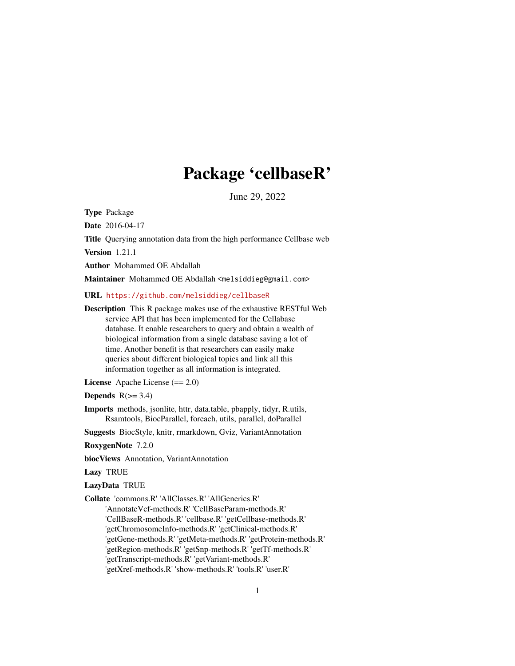# Package 'cellbaseR'

June 29, 2022

<span id="page-0-0"></span>Type Package

Date 2016-04-17

Title Querying annotation data from the high performance Cellbase web

Version 1.21.1

Author Mohammed OE Abdallah

Maintainer Mohammed OE Abdallah <melsiddieg@gmail.com>

URL <https://github.com/melsiddieg/cellbaseR>

Description This R package makes use of the exhaustive RESTful Web service API that has been implemented for the Cellabase database. It enable researchers to query and obtain a wealth of biological information from a single database saving a lot of time. Another benefit is that researchers can easily make queries about different biological topics and link all this information together as all information is integrated.

License Apache License (== 2.0)

**Depends**  $R(>= 3.4)$ 

Imports methods, jsonlite, httr, data.table, pbapply, tidyr, R.utils, Rsamtools, BiocParallel, foreach, utils, parallel, doParallel

Suggests BiocStyle, knitr, rmarkdown, Gviz, VariantAnnotation

RoxygenNote 7.2.0

biocViews Annotation, VariantAnnotation

Lazy TRUE

LazyData TRUE

Collate 'commons.R' 'AllClasses.R' 'AllGenerics.R'

'AnnotateVcf-methods.R' 'CellBaseParam-methods.R' 'CellBaseR-methods.R' 'cellbase.R' 'getCellbase-methods.R' 'getChromosomeInfo-methods.R' 'getClinical-methods.R' 'getGene-methods.R' 'getMeta-methods.R' 'getProtein-methods.R' 'getRegion-methods.R' 'getSnp-methods.R' 'getTf-methods.R' 'getTranscript-methods.R' 'getVariant-methods.R' 'getXref-methods.R' 'show-methods.R' 'tools.R' 'user.R'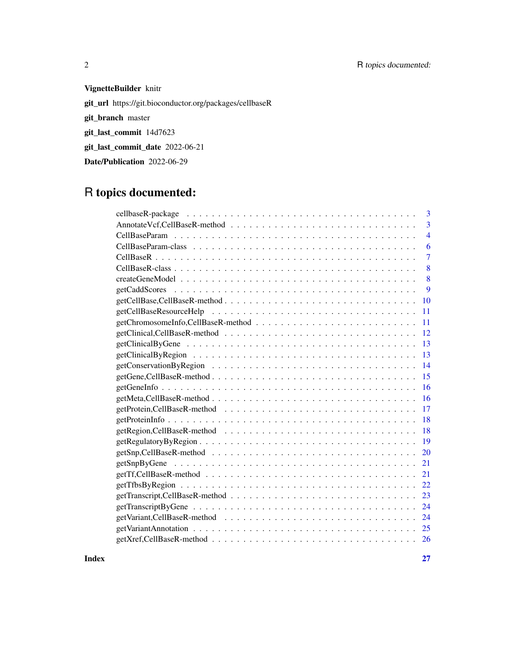## 2 R topics documented:

## VignetteBuilder knitr

git\_url https://git.bioconductor.org/packages/cellbaseR

git\_branch master

git\_last\_commit 14d7623

git\_last\_commit\_date 2022-06-21

Date/Publication 2022-06-29

## R topics documented:

| 3              |
|----------------|
| 3              |
| $\overline{4}$ |
| 6              |
| 7              |
| 8              |
| 8              |
| 9              |
| 10             |
| 11             |
| 11             |
| 12             |
| 13             |
| 13             |
| 14             |
| 15             |
| 16             |
| 16             |
| 17             |
| 18             |
| 18             |
| 19             |
| 20             |
| 21             |
| 21             |
| 22.            |
| 23             |
| 24             |
| 24             |
| 25             |
| 26             |
|                |

**Index** [27](#page-26-0)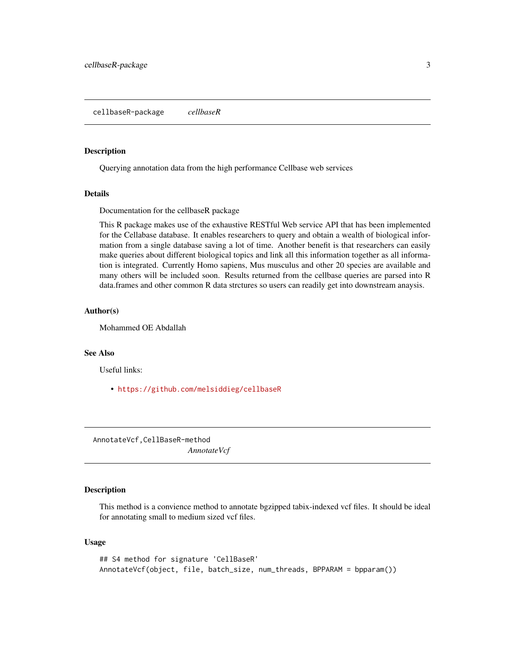#### <span id="page-2-0"></span>Description

Querying annotation data from the high performance Cellbase web services

#### Details

Documentation for the cellbaseR package

This R package makes use of the exhaustive RESTful Web service API that has been implemented for the Cellabase database. It enables researchers to query and obtain a wealth of biological information from a single database saving a lot of time. Another benefit is that researchers can easily make queries about different biological topics and link all this information together as all information is integrated. Currently Homo sapiens, Mus musculus and other 20 species are available and many others will be included soon. Results returned from the cellbase queries are parsed into R data.frames and other common R data strctures so users can readily get into downstream anaysis.

#### Author(s)

Mohammed OE Abdallah

#### See Also

Useful links:

• <https://github.com/melsiddieg/cellbaseR>

AnnotateVcf,CellBaseR-method *AnnotateVcf*

#### Description

This method is a convience method to annotate bgzipped tabix-indexed vcf files. It should be ideal for annotating small to medium sized vcf files.

#### Usage

## S4 method for signature 'CellBaseR' AnnotateVcf(object, file, batch\_size, num\_threads, BPPARAM = bpparam())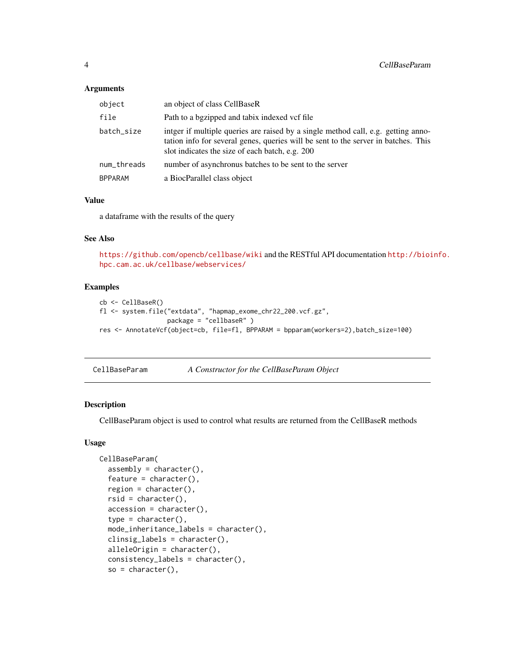#### <span id="page-3-0"></span>Arguments

| object         | an object of class CellBaseR                                                                                                                                                                                               |
|----------------|----------------------------------------------------------------------------------------------------------------------------------------------------------------------------------------------------------------------------|
| file           | Path to a bgzipped and tabix indexed vcf file                                                                                                                                                                              |
| batch_size     | intger if multiple queries are raised by a single method call, e.g. getting anno-<br>tation info for several genes, queries will be sent to the server in batches. This<br>slot indicates the size of each batch, e.g. 200 |
| num_threads    | number of asynchronus batches to be sent to the server                                                                                                                                                                     |
| <b>BPPARAM</b> | a BiocParallel class object                                                                                                                                                                                                |

#### Value

a dataframe with the results of the query

## See Also

<https://github.com/opencb/cellbase/wiki> and the RESTful API documentation [http://bioi](http://bioinfo.hpc.cam.ac.uk/cellbase/webservices/)nfo. [hpc.cam.ac.uk/cellbase/webservices/](http://bioinfo.hpc.cam.ac.uk/cellbase/webservices/)

## Examples

```
cb <- CellBaseR()
fl <- system.file("extdata", "hapmap_exome_chr22_200.vcf.gz",
                  package = "cellbaseR" )
res <- AnnotateVcf(object=cb, file=fl, BPPARAM = bpparam(workers=2),batch_size=100)
```
CellBaseParam *A Constructor for the CellBaseParam Object*

#### Description

CellBaseParam object is used to control what results are returned from the CellBaseR methods

#### Usage

```
CellBaseParam(
  assembly = character(),
  feature = character(),region = character(),
  rsid = character(),accession = character(),
  type = character(),
 mode_inheritance_labels = character(),
  clinsig_labels = character(),
  alleleOrigin = character(),
  consistency_labels = character(),
  so = character(),
```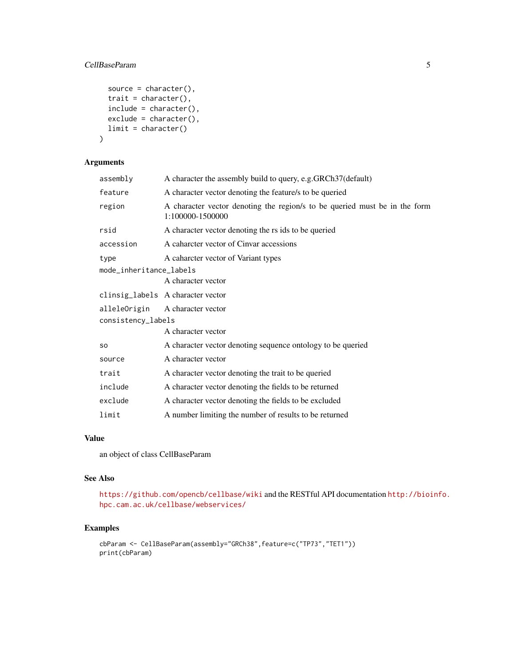## CellBaseParam 5

```
source = character(),
  trait = character(),
  include = character(),
  exclude = character(),
  limit = character()
\mathcal{L}
```
## Arguments

| assembly                | A character the assembly build to query, e.g.GRCh37(default)                                   |  |
|-------------------------|------------------------------------------------------------------------------------------------|--|
| feature                 | A character vector denoting the feature/s to be queried                                        |  |
| region                  | A character vector denoting the region/s to be queried must be in the form<br>1:100000-1500000 |  |
| rsid                    | A character vector denoting the rs ids to be queried                                           |  |
| accession               | A caharcter vector of Cinvar accessions                                                        |  |
| type                    | A caharcter vector of Variant types                                                            |  |
| mode_inheritance_labels |                                                                                                |  |
|                         | A character vector                                                                             |  |
|                         | clinsig_labels A character vector                                                              |  |
|                         | alleleOrigin A character vector                                                                |  |
| consistency_labels      |                                                                                                |  |
|                         | A character vector                                                                             |  |
| <b>SO</b>               | A character vector denoting sequence ontology to be queried                                    |  |
| source                  | A character vector                                                                             |  |
| trait                   | A character vector denoting the trait to be queried                                            |  |
| include                 | A character vector denoting the fields to be returned                                          |  |
| exclude                 | A character vector denoting the fields to be excluded                                          |  |
| limit                   | A number limiting the number of results to be returned                                         |  |

#### Value

an object of class CellBaseParam

#### See Also

<https://github.com/opencb/cellbase/wiki> and the RESTful API documentation [http://bioi](http://bioinfo.hpc.cam.ac.uk/cellbase/webservices/)nfo. [hpc.cam.ac.uk/cellbase/webservices/](http://bioinfo.hpc.cam.ac.uk/cellbase/webservices/)

```
cbParam <- CellBaseParam(assembly="GRCh38",feature=c("TP73","TET1"))
print(cbParam)
```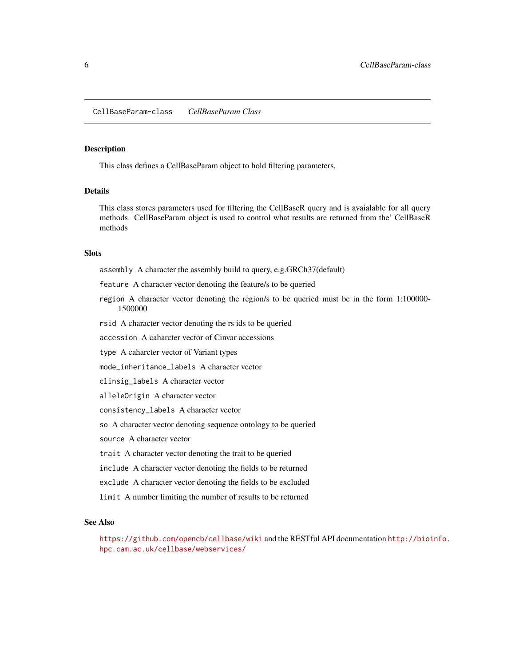#### <span id="page-5-0"></span>Description

This class defines a CellBaseParam object to hold filtering parameters.

#### Details

This class stores parameters used for filtering the CellBaseR query and is avaialable for all query methods. CellBaseParam object is used to control what results are returned from the' CellBaseR methods

#### **Slots**

assembly A character the assembly build to query, e.g.GRCh37(default)

feature A character vector denoting the feature/s to be queried

- region A character vector denoting the region/s to be queried must be in the form 1:100000- 1500000
- rsid A character vector denoting the rs ids to be queried

accession A caharcter vector of Cinvar accessions

type A caharcter vector of Variant types

mode\_inheritance\_labels A character vector

clinsig\_labels A character vector

alleleOrigin A character vector

consistency\_labels A character vector

so A character vector denoting sequence ontology to be queried

source A character vector

trait A character vector denoting the trait to be queried

include A character vector denoting the fields to be returned

exclude A character vector denoting the fields to be excluded

limit A number limiting the number of results to be returned

#### See Also

<https://github.com/opencb/cellbase/wiki> and the RESTful API documentation [http://bioi](http://bioinfo.hpc.cam.ac.uk/cellbase/webservices/)nfo. [hpc.cam.ac.uk/cellbase/webservices/](http://bioinfo.hpc.cam.ac.uk/cellbase/webservices/)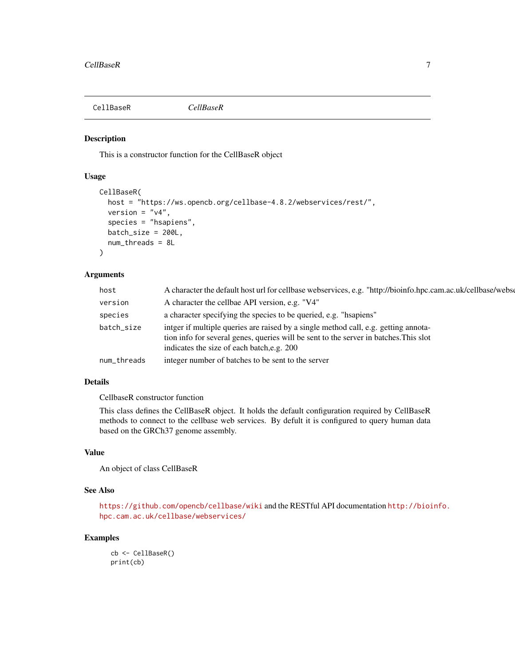<span id="page-6-0"></span>

#### Description

This is a constructor function for the CellBaseR object

## Usage

```
CellBaseR(
  host = "https://ws.opencb.org/cellbase-4.8.2/webservices/rest/",
  version = "v4",species = "hsapiens",
 batch_size = 200L,
 num_threads = 8L
)
```
## Arguments

| host        | A character the default host url for cellbase webservices, e.g. "http://bioinfo.hpc.cam.ac.uk/cellbase/webse                                                                                                               |
|-------------|----------------------------------------------------------------------------------------------------------------------------------------------------------------------------------------------------------------------------|
| version     | A character the cellbae API version, e.g. "V4"                                                                                                                                                                             |
| species     | a character specifying the species to be queried, e.g. "hsapiens"                                                                                                                                                          |
| batch_size  | intger if multiple queries are raised by a single method call, e.g. getting annota-<br>tion info for several genes, queries will be sent to the server in batches. This slot<br>indicates the size of each batch, e.g. 200 |
| num_threads | integer number of batches to be sent to the server                                                                                                                                                                         |
|             |                                                                                                                                                                                                                            |

#### Details

CellbaseR constructor function

This class defines the CellBaseR object. It holds the default configuration required by CellBaseR methods to connect to the cellbase web services. By defult it is configured to query human data based on the GRCh37 genome assembly.

#### Value

An object of class CellBaseR

#### See Also

<https://github.com/opencb/cellbase/wiki> and the RESTful API documentation [http://bioi](http://bioinfo.hpc.cam.ac.uk/cellbase/webservices/)nfo. [hpc.cam.ac.uk/cellbase/webservices/](http://bioinfo.hpc.cam.ac.uk/cellbase/webservices/)

## Examples

cb <- CellBaseR() print(cb)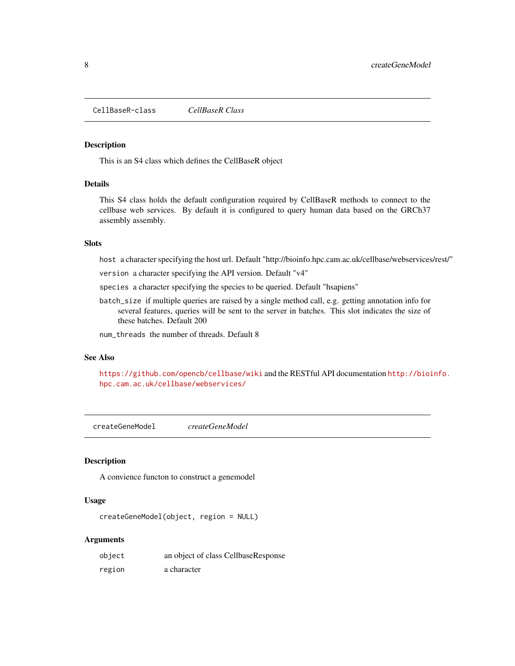<span id="page-7-0"></span>CellBaseR-class *CellBaseR Class*

#### Description

This is an S4 class which defines the CellBaseR object

#### Details

This S4 class holds the default configuration required by CellBaseR methods to connect to the cellbase web services. By default it is configured to query human data based on the GRCh37 assembly assembly.

## Slots

host a character specifying the host url. Default "http://bioinfo.hpc.cam.ac.uk/cellbase/webservices/rest/"

version a character specifying the API version. Default "v4"

- species a character specifying the species to be queried. Default "hsapiens"
- batch\_size if multiple queries are raised by a single method call, e.g. getting annotation info for several features, queries will be sent to the server in batches. This slot indicates the size of these batches. Default 200

num\_threads the number of threads. Default 8

#### See Also

<https://github.com/opencb/cellbase/wiki> and the RESTful API documentation [http://bioi](http://bioinfo.hpc.cam.ac.uk/cellbase/webservices/)nfo. [hpc.cam.ac.uk/cellbase/webservices/](http://bioinfo.hpc.cam.ac.uk/cellbase/webservices/)

createGeneModel *createGeneModel*

#### Description

A convience functon to construct a genemodel

#### Usage

createGeneModel(object, region = NULL)

| object | an object of class CellbaseResponse |
|--------|-------------------------------------|
| region | a character                         |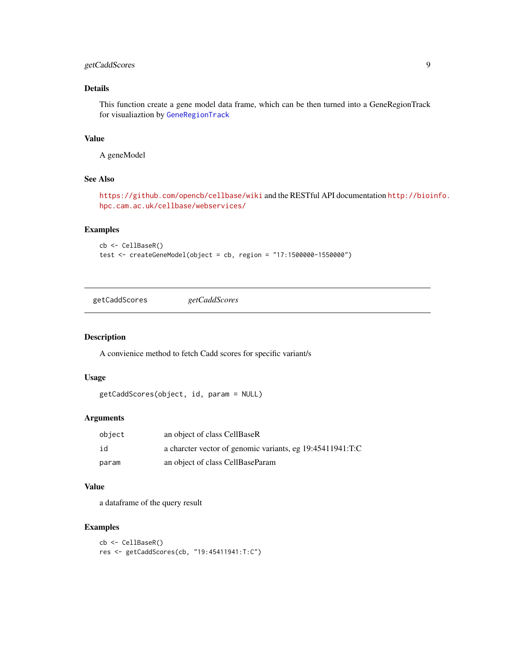## <span id="page-8-0"></span>getCaddScores 9

## Details

This function create a gene model data frame, which can be then turned into a GeneRegionTrack for visualiaztion by [GeneRegionTrack](#page-0-0)

## Value

A geneModel

#### See Also

<https://github.com/opencb/cellbase/wiki> and the RESTful API documentation [http://bioi](http://bioinfo.hpc.cam.ac.uk/cellbase/webservices/)nfo. [hpc.cam.ac.uk/cellbase/webservices/](http://bioinfo.hpc.cam.ac.uk/cellbase/webservices/)

#### Examples

```
cb <- CellBaseR()
test <- createGeneModel(object = cb, region = "17:1500000-1550000")
```
getCaddScores *getCaddScores*

## Description

A convienice method to fetch Cadd scores for specific variant/s

#### Usage

```
getCaddScores(object, id, param = NULL)
```
#### Arguments

| object | an object of class CellBaseR                              |
|--------|-----------------------------------------------------------|
| id     | a charcter vector of genomic variants, eg 19:45411941:T:C |
| param  | an object of class CellBaseParam                          |

#### Value

a dataframe of the query result

```
cb <- CellBaseR()
res <- getCaddScores(cb, "19:45411941:T:C")
```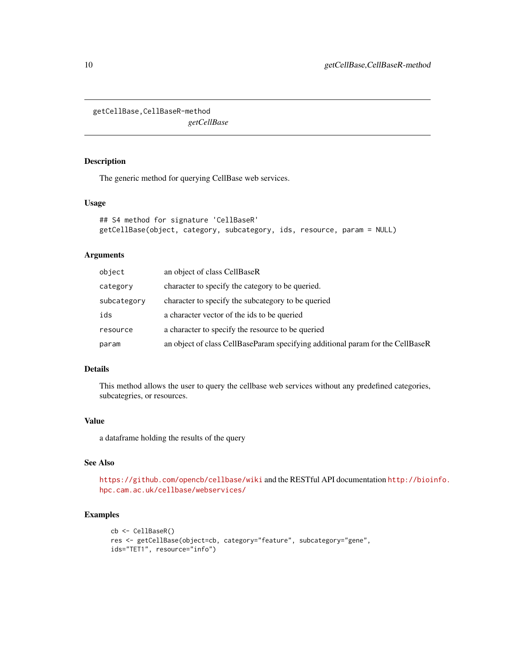<span id="page-9-0"></span>getCellBase,CellBaseR-method

*getCellBase*

## Description

The generic method for querying CellBase web services.

#### Usage

```
## S4 method for signature 'CellBaseR'
getCellBase(object, category, subcategory, ids, resource, param = NULL)
```
## Arguments

| object      | an object of class CellBaseR                                                   |
|-------------|--------------------------------------------------------------------------------|
| category    | character to specify the category to be queried.                               |
| subcategory | character to specify the subcategory to be queried                             |
| ids         | a character vector of the ids to be queried                                    |
| resource    | a character to specify the resource to be queried                              |
| param       | an object of class CellBaseParam specifying additional param for the CellBaseR |

## Details

This method allows the user to query the cellbase web services without any predefined categories, subcategries, or resources.

## Value

a dataframe holding the results of the query

## See Also

<https://github.com/opencb/cellbase/wiki> and the RESTful API documentation [http://bioi](http://bioinfo.hpc.cam.ac.uk/cellbase/webservices/)nfo. [hpc.cam.ac.uk/cellbase/webservices/](http://bioinfo.hpc.cam.ac.uk/cellbase/webservices/)

```
cb <- CellBaseR()
res <- getCellBase(object=cb, category="feature", subcategory="gene",
ids="TET1", resource="info")
```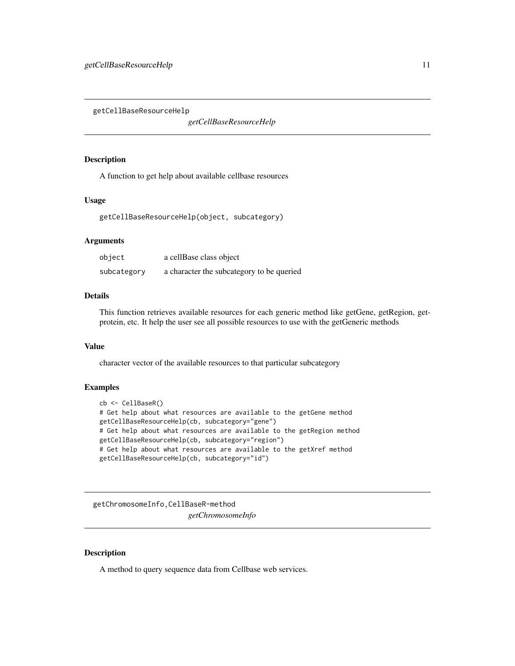<span id="page-10-0"></span>getCellBaseResourceHelp

*getCellBaseResourceHelp*

#### Description

A function to get help about available cellbase resources

#### Usage

getCellBaseResourceHelp(object, subcategory)

## Arguments

| object      | a cellBase class object                   |
|-------------|-------------------------------------------|
| subcategory | a character the subcategory to be queried |

#### Details

This function retrieves available resources for each generic method like getGene, getRegion, getprotein, etc. It help the user see all possible resources to use with the getGeneric methods

#### Value

character vector of the available resources to that particular subcategory

#### Examples

```
cb <- CellBaseR()
# Get help about what resources are available to the getGene method
getCellBaseResourceHelp(cb, subcategory="gene")
# Get help about what resources are available to the getRegion method
getCellBaseResourceHelp(cb, subcategory="region")
# Get help about what resources are available to the getXref method
getCellBaseResourceHelp(cb, subcategory="id")
```
getChromosomeInfo,CellBaseR-method *getChromosomeInfo*

#### Description

A method to query sequence data from Cellbase web services.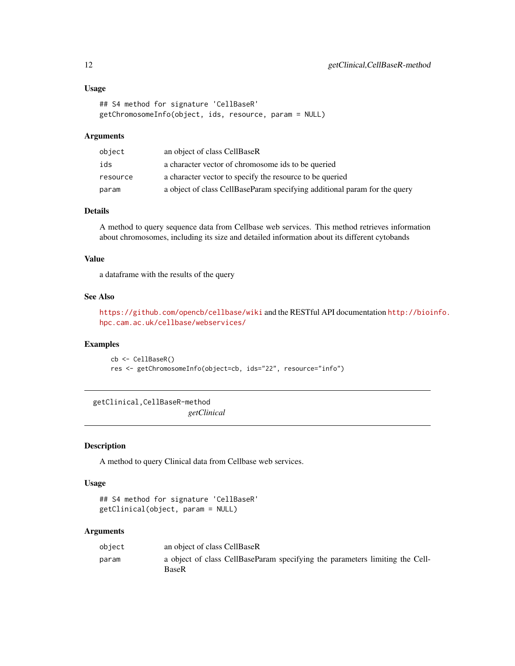## <span id="page-11-0"></span>Usage

```
## S4 method for signature 'CellBaseR'
getChromosomeInfo(object, ids, resource, param = NULL)
```
#### Arguments

| object   | an object of class CellBaseR                                              |
|----------|---------------------------------------------------------------------------|
| ids      | a character vector of chromosome ids to be queried                        |
| resource | a character vector to specify the resource to be queried                  |
| param    | a object of class CellBaseParam specifying additional param for the query |

#### Details

A method to query sequence data from Cellbase web services. This method retrieves information about chromosomes, including its size and detailed information about its different cytobands

#### Value

a dataframe with the results of the query

#### See Also

```
https://github.com/opencb/cellbase/wiki and the RESTful API documentation http://bioinfo.
hpc.cam.ac.uk/cellbase/webservices/
```
#### Examples

cb <- CellBaseR() res <- getChromosomeInfo(object=cb, ids="22", resource="info")

getClinical,CellBaseR-method *getClinical*

#### Description

A method to query Clinical data from Cellbase web services.

#### Usage

```
## S4 method for signature 'CellBaseR'
getClinical(object, param = NULL)
```

| object | an object of class CellBaseR                                                                 |
|--------|----------------------------------------------------------------------------------------------|
| param  | a object of class CellBaseParam specifying the parameters limiting the Cell-<br><b>BaseR</b> |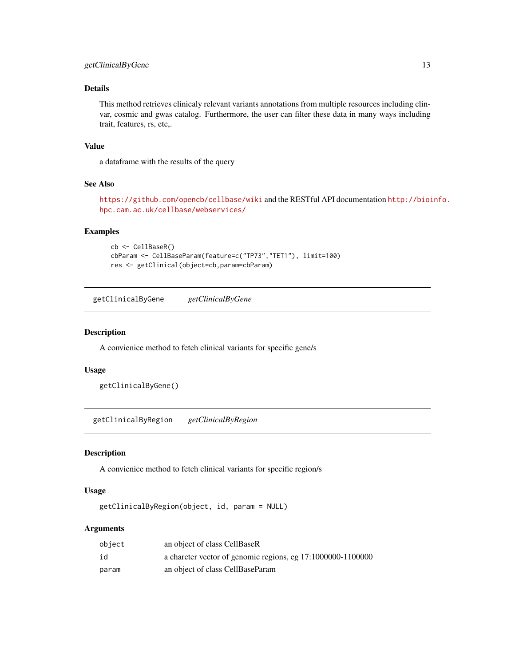## <span id="page-12-0"></span>Details

This method retrieves clinicaly relevant variants annotations from multiple resources including clinvar, cosmic and gwas catalog. Furthermore, the user can filter these data in many ways including trait, features, rs, etc,.

#### Value

a dataframe with the results of the query

## See Also

```
https://github.com/opencb/cellbase/wiki and the RESTful API documentation http://bioinfo.
hpc.cam.ac.uk/cellbase/webservices/
```
#### Examples

```
cb <- CellBaseR()
cbParam <- CellBaseParam(feature=c("TP73","TET1"), limit=100)
res <- getClinical(object=cb,param=cbParam)
```
getClinicalByGene *getClinicalByGene*

#### Description

A convienice method to fetch clinical variants for specific gene/s

#### Usage

getClinicalByGene()

getClinicalByRegion *getClinicalByRegion*

#### Description

A convienice method to fetch clinical variants for specific region/s

#### Usage

```
getClinicalByRegion(object, id, param = NULL)
```

| object | an object of class CellBaseR                                |
|--------|-------------------------------------------------------------|
| id     | a charcter vector of genomic regions, eg 17:1000000-1100000 |
| param  | an object of class CellBaseParam                            |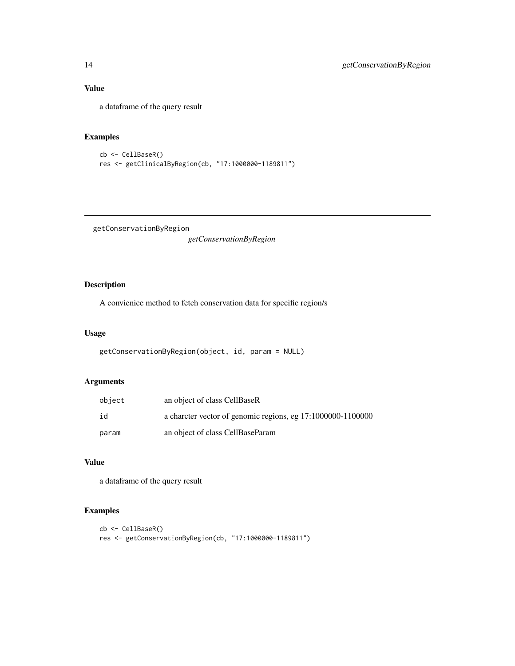## Value

a dataframe of the query result

## Examples

```
cb <- CellBaseR()
res <- getClinicalByRegion(cb, "17:1000000-1189811")
```
getConservationByRegion *getConservationByRegion*

## Description

A convienice method to fetch conservation data for specific region/s

#### Usage

```
getConservationByRegion(object, id, param = NULL)
```
## Arguments

| object | an object of class CellBaseR                                |
|--------|-------------------------------------------------------------|
| id     | a charcter vector of genomic regions, eg 17:1000000-1100000 |
| param  | an object of class CellBaseParam                            |

## Value

a dataframe of the query result

```
cb <- CellBaseR()
res <- getConservationByRegion(cb, "17:1000000-1189811")
```
<span id="page-13-0"></span>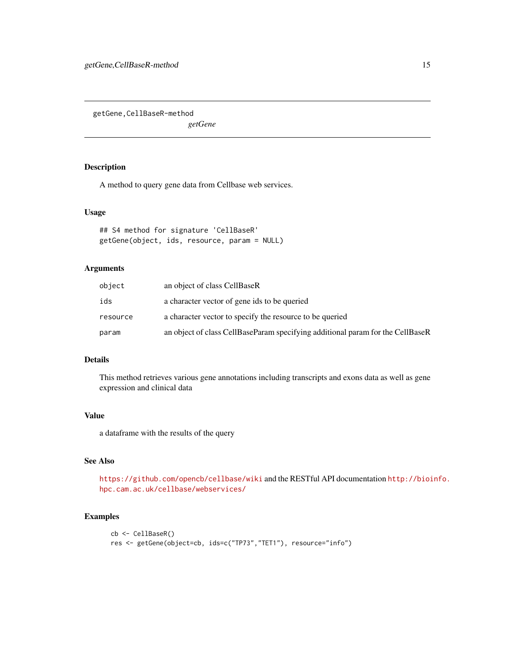<span id="page-14-0"></span>getGene,CellBaseR-method

*getGene*

## Description

A method to query gene data from Cellbase web services.

#### Usage

```
## S4 method for signature 'CellBaseR'
getGene(object, ids, resource, param = NULL)
```
#### Arguments

| object   | an object of class CellBaseR                                                   |
|----------|--------------------------------------------------------------------------------|
| ids      | a character vector of gene ids to be queried                                   |
| resource | a character vector to specify the resource to be queried                       |
| param    | an object of class CellBaseParam specifying additional param for the CellBaseR |

## Details

This method retrieves various gene annotations including transcripts and exons data as well as gene expression and clinical data

#### Value

a dataframe with the results of the query

## See Also

<https://github.com/opencb/cellbase/wiki> and the RESTful API documentation [http://bioi](http://bioinfo.hpc.cam.ac.uk/cellbase/webservices/)nfo. [hpc.cam.ac.uk/cellbase/webservices/](http://bioinfo.hpc.cam.ac.uk/cellbase/webservices/)

```
cb <- CellBaseR()
res <- getGene(object=cb, ids=c("TP73","TET1"), resource="info")
```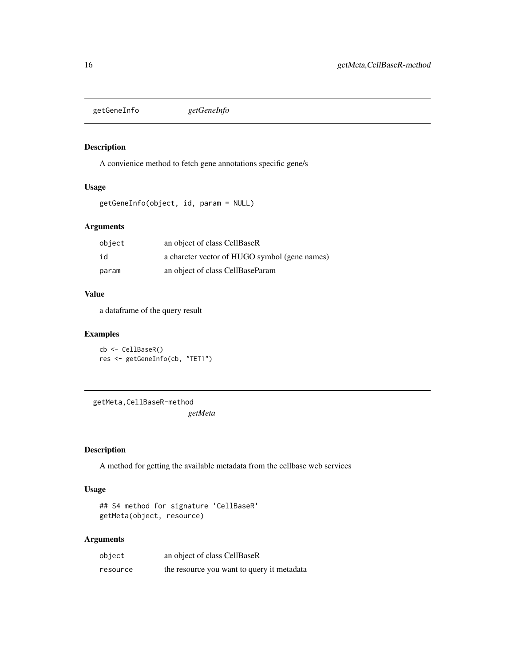<span id="page-15-0"></span>getGeneInfo *getGeneInfo*

## Description

A convienice method to fetch gene annotations specific gene/s

#### Usage

```
getGeneInfo(object, id, param = NULL)
```
## Arguments

| object | an object of class CellBaseR                  |
|--------|-----------------------------------------------|
| id     | a charcter vector of HUGO symbol (gene names) |
| param  | an object of class CellBaseParam              |

#### Value

a dataframe of the query result

## Examples

cb <- CellBaseR() res <- getGeneInfo(cb, "TET1")

getMeta,CellBaseR-method *getMeta*

## Description

A method for getting the available metadata from the cellbase web services

#### Usage

```
## S4 method for signature 'CellBaseR'
getMeta(object, resource)
```

| object   | an object of class CellBaseR               |
|----------|--------------------------------------------|
| resource | the resource you want to query it metadata |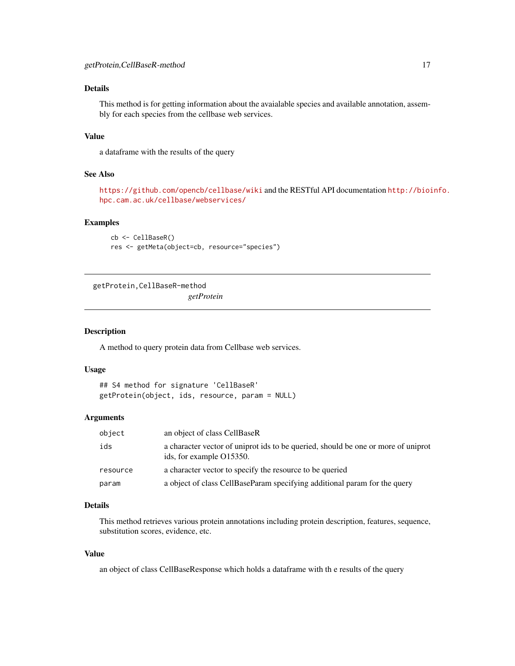## <span id="page-16-0"></span>Details

This method is for getting information about the avaialable species and available annotation, assembly for each species from the cellbase web services.

#### Value

a dataframe with the results of the query

#### See Also

```
https://github.com/opencb/cellbase/wiki and the RESTful API documentation http://bioinfo.
hpc.cam.ac.uk/cellbase/webservices/
```
#### Examples

```
cb <- CellBaseR()
res <- getMeta(object=cb, resource="species")
```
getProtein,CellBaseR-method

*getProtein*

#### Description

A method to query protein data from Cellbase web services.

#### Usage

```
## S4 method for signature 'CellBaseR'
getProtein(object, ids, resource, param = NULL)
```
#### Arguments

| object   | an object of class CellBaseR                                                                                  |
|----------|---------------------------------------------------------------------------------------------------------------|
| ids      | a character vector of uniprot ids to be queried, should be one or more of uniprot<br>ids, for example O15350. |
| resource | a character vector to specify the resource to be queried                                                      |
| param    | a object of class CellBaseParam specifying additional param for the query                                     |

#### Details

This method retrieves various protein annotations including protein description, features, sequence, substitution scores, evidence, etc.

#### Value

an object of class CellBaseResponse which holds a dataframe with th e results of the query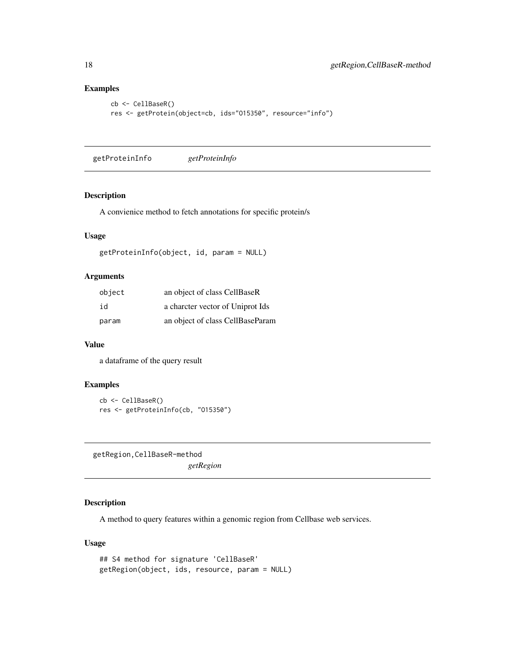#### Examples

```
cb <- CellBaseR()
res <- getProtein(object=cb, ids="O15350", resource="info")
```
getProteinInfo *getProteinInfo*

#### Description

A convienice method to fetch annotations for specific protein/s

## Usage

```
getProteinInfo(object, id, param = NULL)
```
## Arguments

| object | an object of class CellBaseR     |
|--------|----------------------------------|
| id     | a charcter vector of Uniprot Ids |
| param  | an object of class CellBaseParam |

#### Value

a dataframe of the query result

#### Examples

```
cb <- CellBaseR()
res <- getProteinInfo(cb, "O15350")
```
getRegion,CellBaseR-method *getRegion*

## Description

A method to query features within a genomic region from Cellbase web services.

#### Usage

```
## S4 method for signature 'CellBaseR'
getRegion(object, ids, resource, param = NULL)
```
<span id="page-17-0"></span>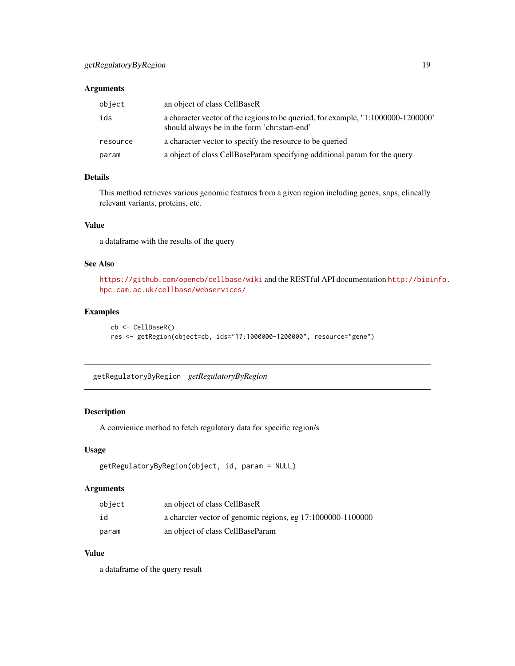#### <span id="page-18-0"></span>Arguments

| object   | an object of class CellBaseR                                                                                                      |
|----------|-----------------------------------------------------------------------------------------------------------------------------------|
| ids      | a character vector of the regions to be queried, for example, "1:1000000-1200000"<br>should always be in the form 'chr:start-end' |
| resource | a character vector to specify the resource to be queried                                                                          |
| param    | a object of class CellBaseParam specifying additional param for the query                                                         |

## Details

This method retrieves various genomic features from a given region including genes, snps, clincally relevant variants, proteins, etc.

## Value

a dataframe with the results of the query

## See Also

<https://github.com/opencb/cellbase/wiki> and the RESTful API documentation [http://bioi](http://bioinfo.hpc.cam.ac.uk/cellbase/webservices/)nfo. [hpc.cam.ac.uk/cellbase/webservices/](http://bioinfo.hpc.cam.ac.uk/cellbase/webservices/)

#### Examples

```
cb <- CellBaseR()
res <- getRegion(object=cb, ids="17:1000000-1200000", resource="gene")
```
getRegulatoryByRegion *getRegulatoryByRegion*

## Description

A convienice method to fetch regulatory data for specific region/s

#### Usage

```
getRegulatoryByRegion(object, id, param = NULL)
```
#### Arguments

| object | an object of class CellBaseR                                |
|--------|-------------------------------------------------------------|
| id     | a charcter vector of genomic regions, eg 17:1000000-1100000 |
| param  | an object of class CellBaseParam                            |

#### Value

a dataframe of the query result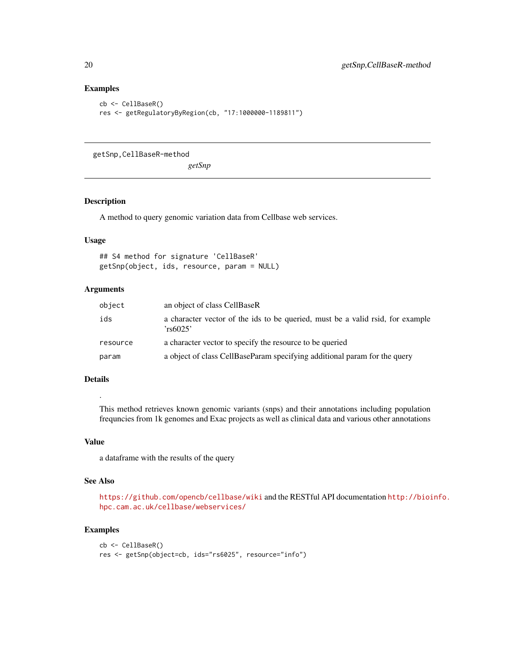## Examples

```
cb <- CellBaseR()
res <- getRegulatoryByRegion(cb, "17:1000000-1189811")
```
getSnp,CellBaseR-method

*getSnp*

#### Description

A method to query genomic variation data from Cellbase web services.

## Usage

## S4 method for signature 'CellBaseR' getSnp(object, ids, resource, param = NULL)

## Arguments

| object   | an object of class CellBaseR                                                               |
|----------|--------------------------------------------------------------------------------------------|
| ids      | a character vector of the ids to be queried, must be a valid rsid, for example<br>'rs6025' |
| resource | a character vector to specify the resource to be queried                                   |
| param    | a object of class CellBaseParam specifying additional param for the query                  |

## Details

.

This method retrieves known genomic variants (snps) and their annotations including population frequncies from 1k genomes and Exac projects as well as clinical data and various other annotations

#### Value

a dataframe with the results of the query

#### See Also

```
https://github.com/opencb/cellbase/wiki and the RESTful API documentation http://bioinfo.
hpc.cam.ac.uk/cellbase/webservices/
```

```
cb <- CellBaseR()
res <- getSnp(object=cb, ids="rs6025", resource="info")
```
<span id="page-19-0"></span>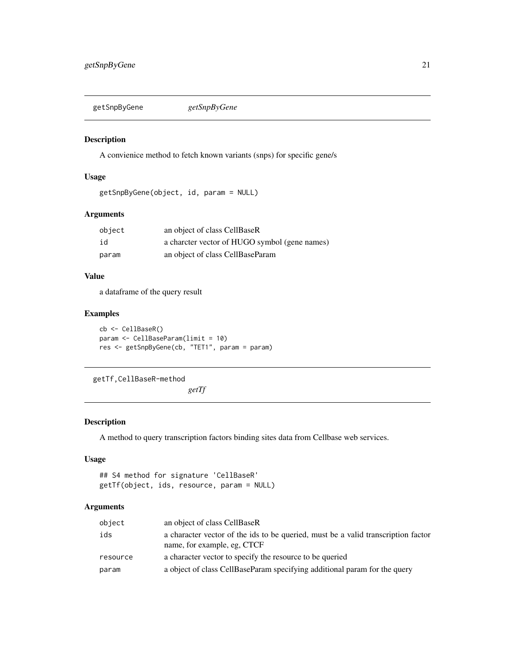<span id="page-20-0"></span>getSnpByGene *getSnpByGene*

## Description

A convienice method to fetch known variants (snps) for specific gene/s

#### Usage

```
getSnpByGene(object, id, param = NULL)
```
#### Arguments

| object | an object of class CellBaseR                  |
|--------|-----------------------------------------------|
| id     | a charcter vector of HUGO symbol (gene names) |
| param  | an object of class CellBaseParam              |

## Value

a dataframe of the query result

## Examples

```
cb <- CellBaseR()
param <- CellBaseParam(limit = 10)
res <- getSnpByGene(cb, "TET1", param = param)
```
getTf,CellBaseR-method

*getTf*

## Description

A method to query transcription factors binding sites data from Cellbase web services.

#### Usage

```
## S4 method for signature 'CellBaseR'
getTf(object, ids, resource, param = NULL)
```

| object   | an object of class CellBaseR                                                                                     |
|----------|------------------------------------------------------------------------------------------------------------------|
| ids      | a character vector of the ids to be queried, must be a valid transcription factor<br>name, for example, eg, CTCF |
| resource | a character vector to specify the resource to be queried                                                         |
| param    | a object of class CellBaseParam specifying additional param for the query                                        |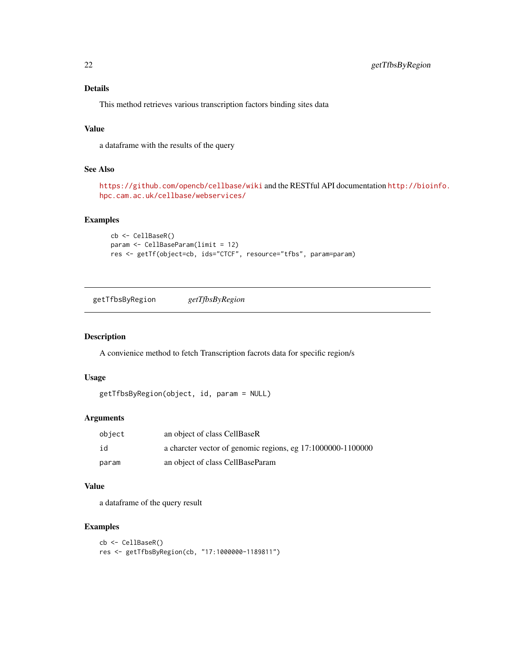## <span id="page-21-0"></span>Details

This method retrieves various transcription factors binding sites data

## Value

a dataframe with the results of the query

## See Also

```
https://github.com/opencb/cellbase/wiki and the RESTful API documentation http://bioinfo.
hpc.cam.ac.uk/cellbase/webservices/
```
#### Examples

```
cb <- CellBaseR()
param <- CellBaseParam(limit = 12)
res <- getTf(object=cb, ids="CTCF", resource="tfbs", param=param)
```
getTfbsByRegion *getTfbsByRegion*

## Description

A convienice method to fetch Transcription facrots data for specific region/s

#### Usage

```
getTfbsByRegion(object, id, param = NULL)
```
#### Arguments

| object | an object of class CellBaseR                                |
|--------|-------------------------------------------------------------|
| id     | a charcter vector of genomic regions, eg 17:1000000-1100000 |
| param  | an object of class CellBaseParam                            |

#### Value

a dataframe of the query result

```
cb <- CellBaseR()
res <- getTfbsByRegion(cb, "17:1000000-1189811")
```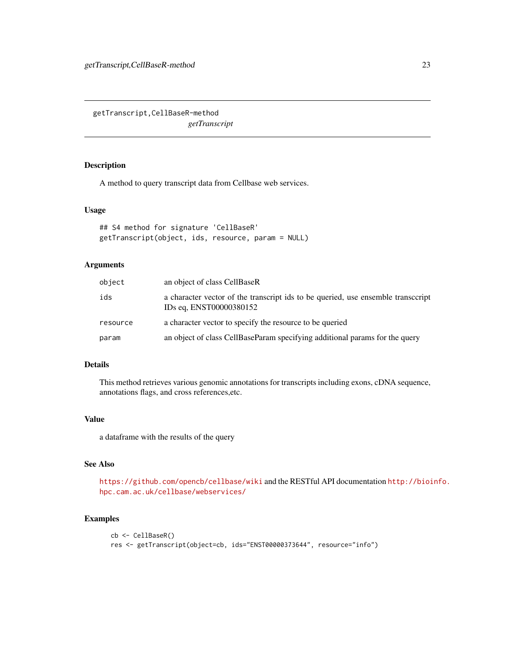<span id="page-22-0"></span>getTranscript,CellBaseR-method *getTranscript*

## Description

A method to query transcript data from Cellbase web services.

#### Usage

```
## S4 method for signature 'CellBaseR'
getTranscript(object, ids, resource, param = NULL)
```
## Arguments

| object   | an object of class CellBaseR                                                                               |
|----------|------------------------------------------------------------------------------------------------------------|
| ids      | a character vector of the transcript ids to be queried, use ensemble transcript<br>IDs eq. ENST00000380152 |
| resource | a character vector to specify the resource to be queried                                                   |
| param    | an object of class CellBaseParam specifying additional params for the query                                |

## Details

This method retrieves various genomic annotations for transcripts including exons, cDNA sequence, annotations flags, and cross references,etc.

#### Value

a dataframe with the results of the query

## See Also

<https://github.com/opencb/cellbase/wiki> and the RESTful API documentation [http://bioi](http://bioinfo.hpc.cam.ac.uk/cellbase/webservices/)nfo. [hpc.cam.ac.uk/cellbase/webservices/](http://bioinfo.hpc.cam.ac.uk/cellbase/webservices/)

```
cb <- CellBaseR()
res <- getTranscript(object=cb, ids="ENST00000373644", resource="info")
```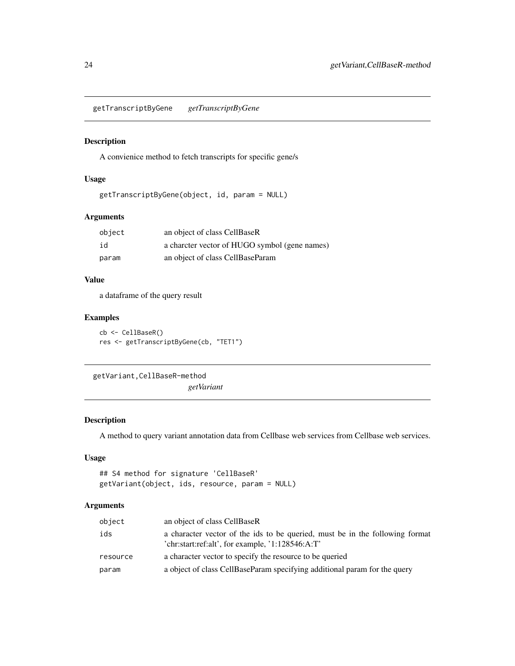<span id="page-23-0"></span>getTranscriptByGene *getTranscriptByGene*

#### Description

A convienice method to fetch transcripts for specific gene/s

#### Usage

getTranscriptByGene(object, id, param = NULL)

## Arguments

| object | an object of class CellBaseR                  |
|--------|-----------------------------------------------|
| id     | a charcter vector of HUGO symbol (gene names) |
| param  | an object of class CellBaseParam              |

#### Value

a dataframe of the query result

## Examples

cb <- CellBaseR() res <- getTranscriptByGene(cb, "TET1")

getVariant,CellBaseR-method

*getVariant*

## Description

A method to query variant annotation data from Cellbase web services from Cellbase web services.

## Usage

## S4 method for signature 'CellBaseR' getVariant(object, ids, resource, param = NULL)

| object   | an object of class CellBaseR                                                                                                     |
|----------|----------------------------------------------------------------------------------------------------------------------------------|
| ids      | a character vector of the ids to be queried, must be in the following format<br>'chr:start:ref:alt', for example, '1:128546:A:T' |
| resource | a character vector to specify the resource to be queried                                                                         |
| param    | a object of class CellBaseParam specifying additional param for the query                                                        |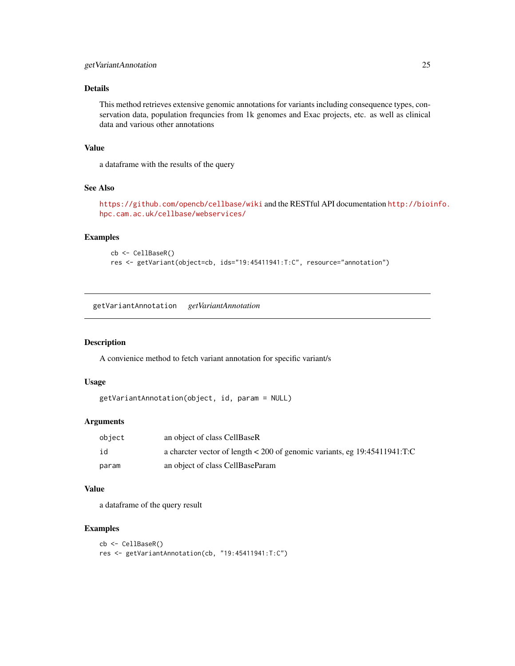#### <span id="page-24-0"></span>Details

This method retrieves extensive genomic annotations for variants including consequence types, conservation data, population frequncies from 1k genomes and Exac projects, etc. as well as clinical data and various other annotations

## Value

a dataframe with the results of the query

## See Also

<https://github.com/opencb/cellbase/wiki> and the RESTful API documentation [http://bioi](http://bioinfo.hpc.cam.ac.uk/cellbase/webservices/)nfo. [hpc.cam.ac.uk/cellbase/webservices/](http://bioinfo.hpc.cam.ac.uk/cellbase/webservices/)

#### Examples

```
cb <- CellBaseR()
res <- getVariant(object=cb, ids="19:45411941:T:C", resource="annotation")
```
getVariantAnnotation *getVariantAnnotation*

## Description

A convienice method to fetch variant annotation for specific variant/s

#### Usage

```
getVariantAnnotation(object, id, param = NULL)
```
#### Arguments

| object | an object of class CellBaseR                                              |
|--------|---------------------------------------------------------------------------|
| id     | a charcter vector of length < 200 of genomic variants, eg 19:45411941:T:C |
| param  | an object of class CellBaseParam                                          |

#### Value

a dataframe of the query result

```
cb <- CellBaseR()
res <- getVariantAnnotation(cb, "19:45411941:T:C")
```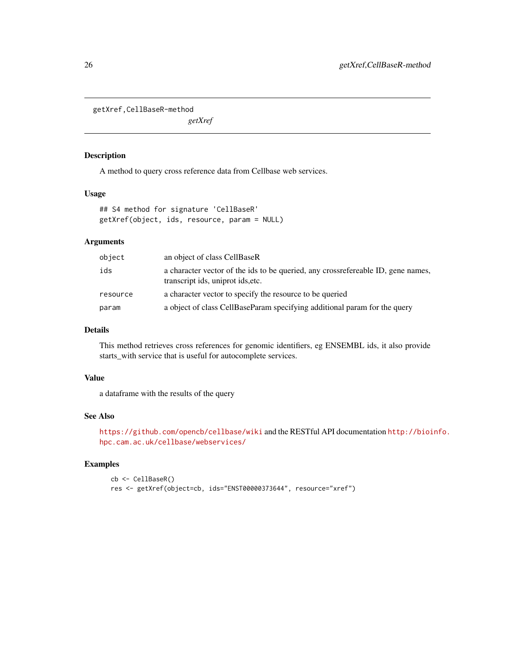<span id="page-25-0"></span>getXref,CellBaseR-method

*getXref*

#### Description

A method to query cross reference data from Cellbase web services.

#### Usage

## S4 method for signature 'CellBaseR' getXref(object, ids, resource, param = NULL)

## Arguments

| object   | an object of class CellBaseR                                                                                          |
|----------|-----------------------------------------------------------------------------------------------------------------------|
| ids      | a character vector of the ids to be queried, any crossrefereable ID, gene names,<br>transcript ids, uniprot ids, etc. |
| resource | a character vector to specify the resource to be queried                                                              |
| param    | a object of class CellBaseParam specifying additional param for the query                                             |

## Details

This method retrieves cross references for genomic identifiers, eg ENSEMBL ids, it also provide starts\_with service that is useful for autocomplete services.

## Value

a dataframe with the results of the query

## See Also

```
https://github.com/opencb/cellbase/wiki and the RESTful API documentation http://bioinfo.
hpc.cam.ac.uk/cellbase/webservices/
```

```
cb <- CellBaseR()
res <- getXref(object=cb, ids="ENST00000373644", resource="xref")
```